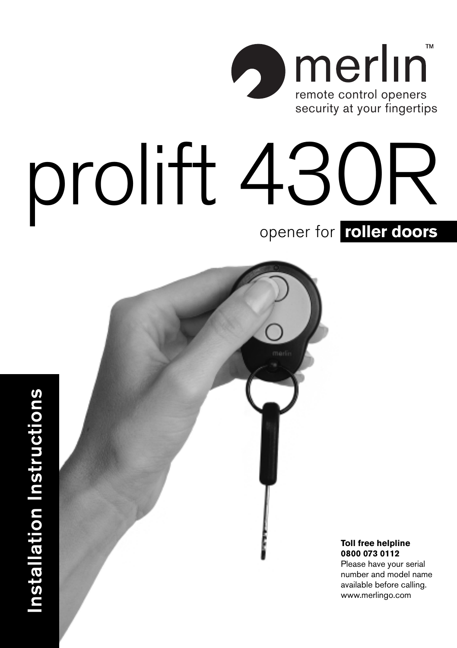

# prolift 430R opener for **roller doors**



 **Installation Instructions**

Installation Instructions

**Toll free helpline 0800 073 0112**

Please have your serial number and model name available before calling. www.merlingo.com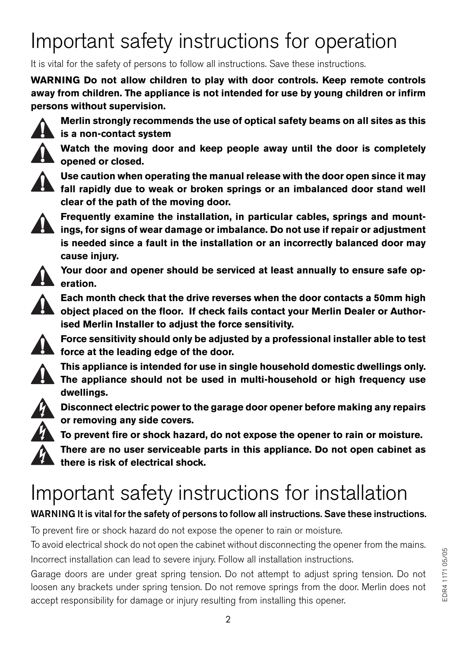## Important safety instructions for operation

It is vital for the safety of persons to follow all instructions. Save these instructions.

**WARNING Do not allow children to play with door controls. Keep remote controls away from children. The appliance is not intended for use by young children or infirm persons without supervision.**



**Merlin strongly recommends the use of optical safety beams on all sites as this is a non-contact system**

**Watch the moving door and keep people away until the door is completely opened or closed.**



**Use caution when operating the manual release with the door open since it may fall rapidly due to weak or broken springs or an imbalanced door stand well clear of the path of the moving door.**



**Frequently examine the installation, in particular cables, springs and mountings, for signs of wear damage or imbalance. Do not use if repair or adjustment is needed since a fault in the installation or an incorrectly balanced door may cause injury.**



**Your door and opener should be serviced at least annually to ensure safe operation.**



**Each month check that the drive reverses when the door contacts a 50mm high object placed on the floor. If check fails contact your Merlin Dealer or Authorised Merlin Installer to adjust the force sensitivity.**



**Force sensitivity should only be adjusted by a professional installer able to test force at the leading edge of the door.**

**This appliance is intended for use in single household domestic dwellings only. The appliance should not be used in multi-household or high frequency use dwellings.**



**Disconnect electric power to the garage door opener before making any repairs or removing any side covers.**

**To prevent fire or shock hazard, do not expose the opener to rain or moisture. There are no user serviceable parts in this appliance. Do not open cabinet as there is risk of electrical shock.**

## Important safety instructions for installation

#### **WARNING It is vital for the safety of persons to follow all instructions. Save these instructions.**

To prevent fire or shock hazard do not expose the opener to rain or moisture.

To avoid electrical shock do not open the cabinet without disconnecting the opener from the mains. Incorrect installation can lead to severe injury. Follow all installation instructions.

Garage doors are under great spring tension. Do not attempt to adjust spring tension. Do not loosen any brackets under spring tension. Do not remove springs from the door. Merlin does not accept responsibility for damage or injury resulting from installing this opener.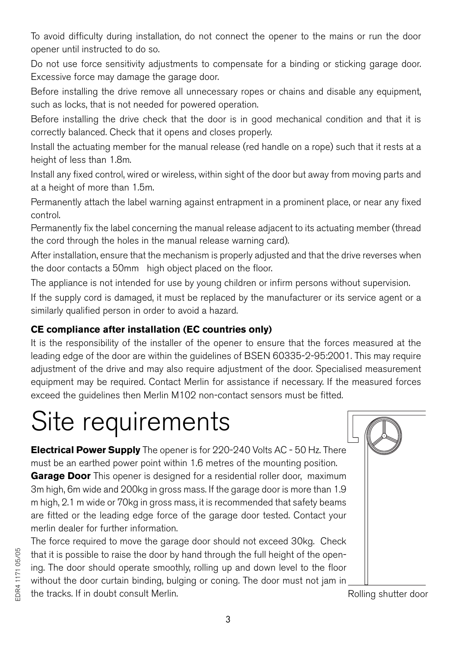To avoid difficulty during installation, do not connect the opener to the mains or run the door opener until instructed to do so.

Do not use force sensitivity adjustments to compensate for a binding or sticking garage door. Excessive force may damage the garage door.

Before installing the drive remove all unnecessary ropes or chains and disable any equipment, such as locks, that is not needed for powered operation.

Before installing the drive check that the door is in good mechanical condition and that it is correctly balanced. Check that it opens and closes properly.

Install the actuating member for the manual release (red handle on a rope) such that it rests at a height of less than 1.8m.

Install any fixed control, wired or wireless, within sight of the door but away from moving parts and at a height of more than 1.5m.

Permanently attach the label warning against entrapment in a prominent place, or near any fixed control.

Permanently fix the label concerning the manual release adjacent to its actuating member (thread the cord through the holes in the manual release warning card).

After installation, ensure that the mechanism is properly adjusted and that the drive reverses when the door contacts a 50mm high object placed on the floor.

The appliance is not intended for use by young children or infirm persons without supervision.

If the supply cord is damaged, it must be replaced by the manufacturer or its service agent or a similarly qualified person in order to avoid a hazard.

#### **CE compliance after installation (EC countries only)**

It is the responsibility of the installer of the opener to ensure that the forces measured at the leading edge of the door are within the guidelines of BSEN 60335-2-95:2001. This may require adjustment of the drive and may also require adjustment of the door. Specialised measurement equipment may be required. Contact Merlin for assistance if necessary. If the measured forces exceed the guidelines then Merlin M102 non-contact sensors must be fitted.

## Site requirements

**Electrical Power Supply** The opener is for 220-240 Volts AC - 50 Hz. There must be an earthed power point within 1.6 metres of the mounting position. **Garage Door** This opener is designed for a residential roller door, maximum 3m high, 6m wide and 200kg in gross mass. If the garage door is more than 1.9 m high, 2.1 m wide or 70kg in gross mass, it is recommended that safety beams are fitted or the leading edge force of the garage door tested. Contact your merlin dealer for further information.

The force required to move the garage door should not exceed 30kg. Check that it is possible to raise the door by hand through the full height of the opening. The door should operate smoothly, rolling up and down level to the floor without the door curtain binding, bulging or coning. The door must not jam in the tracks. If in doubt consult Merlin. The state of the state of the state of the state of the state of the state of the state of the state of the state of the state of the state of the state of the state of the state of

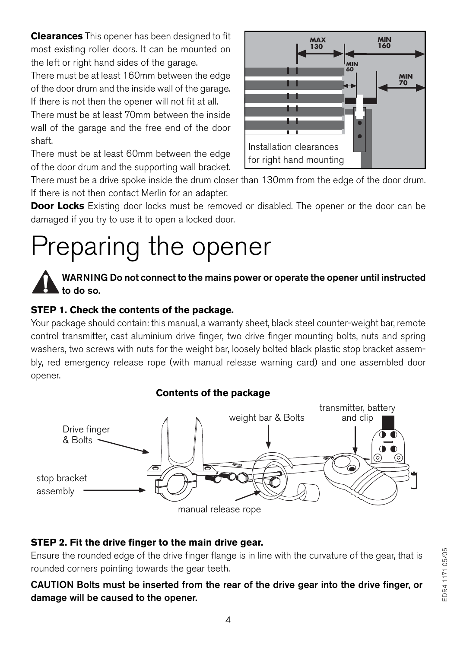**Clearances** This opener has been designed to fit most existing roller doors. It can be mounted on the left or right hand sides of the garage.

There must be at least 160mm between the edge of the door drum and the inside wall of the garage. If there is not then the opener will not fit at all.

There must be at least 70mm between the inside wall of the garage and the free end of the door shaft.

There must be at least 60mm between the edge of the door drum and the supporting wall bracket.



There must be a drive spoke inside the drum closer than 130mm from the edge of the door drum. If there is not then contact Merlin for an adapter.

**Door Locks** Existing door locks must be removed or disabled. The opener or the door can be damaged if you try to use it to open a locked door.

## Preparing the opener



#### **STEP 1. Check the contents of the package.**

Your package should contain: this manual, a warranty sheet, black steel counter-weight bar, remote control transmitter, cast aluminium drive finger, two drive finger mounting bolts, nuts and spring washers, two screws with nuts for the weight bar, loosely bolted black plastic stop bracket assembly, red emergency release rope (with manual release warning card) and one assembled door opener.



#### **STEP 2. Fit the drive finger to the main drive gear.**

Ensure the rounded edge of the drive finger flange is in line with the curvature of the gear, that is rounded corners pointing towards the gear teeth.

**CAUTION Bolts must be inserted from the rear of the drive gear into the drive finger, or damage will be caused to the opener.**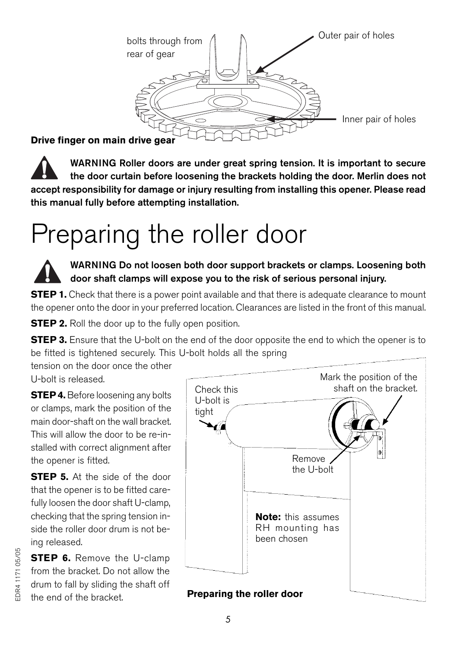

#### **Drive finger on main drive gear**

**WARNING Roller doors are under great spring tension. It is important to secure the door curtain before loosening the brackets holding the door. Merlin does not accept responsibility for damage or injury resulting from installing this opener. Please read this manual fully before attempting installation.**

## Preparing the roller door

**WARNING Do not loosen both door support brackets or clamps. Loosening both door shaft clamps will expose you to the risk of serious personal injury.**

**STEP 1.** Check that there is a power point available and that there is adequate clearance to mount the opener onto the door in your preferred location. Clearances are listed in the front of this manual.

**STEP 2.** Roll the door up to the fully open position.

**STEP 3.** Ensure that the U-bolt on the end of the door opposite the end to which the opener is to be fitted is tightened securely. This U-bolt holds all the spring

tension on the door once the other U-bolt is released.

**STEP 4.** Before loosening any bolts or clamps, mark the position of the main door-shaft on the wall bracket. This will allow the door to be re-installed with correct alignment after the opener is fitted.

**STEP 5.** At the side of the door that the opener is to be fitted carefully loosen the door shaft U-clamp, checking that the spring tension inside the roller door drum is not being released.

**STEP 6.** Remove the U-clamp from the bracket. Do not allow the drum to fall by sliding the shaft off the end of the bracket. **Preparing the roller door**



## DR4 1171 05/05 EDR4 1171 05/05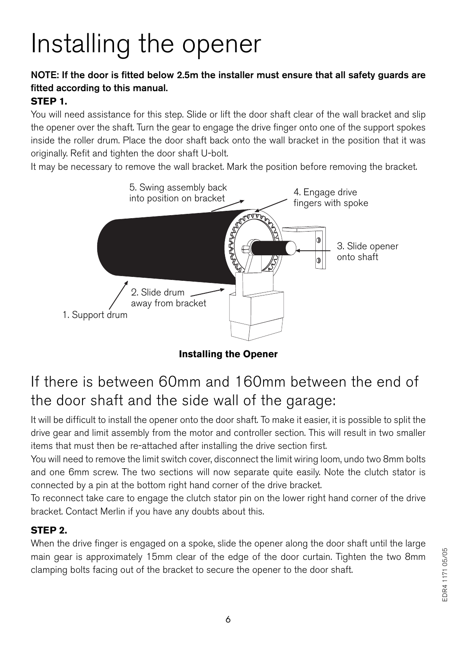# Installing the opener

#### **NOTE: If the door is fitted below 2.5m the installer must ensure that all safety guards are fitted according to this manual.**

#### **STEP 1.**

You will need assistance for this step. Slide or lift the door shaft clear of the wall bracket and slip the opener over the shaft. Turn the gear to engage the drive finger onto one of the support spokes inside the roller drum. Place the door shaft back onto the wall bracket in the position that it was originally. Refit and tighten the door shaft U-bolt.

It may be necessary to remove the wall bracket. Mark the position before removing the bracket.



**Installing the Opener**

## If there is between 60mm and 160mm between the end of the door shaft and the side wall of the garage:

It will be difficult to install the opener onto the door shaft. To make it easier, it is possible to split the drive gear and limit assembly from the motor and controller section. This will result in two smaller items that must then be re-attached after installing the drive section first.

You will need to remove the limit switch cover, disconnect the limit wiring loom, undo two 8mm bolts and one 6mm screw. The two sections will now separate quite easily. Note the clutch stator is connected by a pin at the bottom right hand corner of the drive bracket.

To reconnect take care to engage the clutch stator pin on the lower right hand corner of the drive bracket. Contact Merlin if you have any doubts about this.

#### **STEP 2.**

When the drive finger is engaged on a spoke, slide the opener along the door shaft until the large main gear is approximately 15mm clear of the edge of the door curtain. Tighten the two 8mm clamping bolts facing out of the bracket to secure the opener to the door shaft.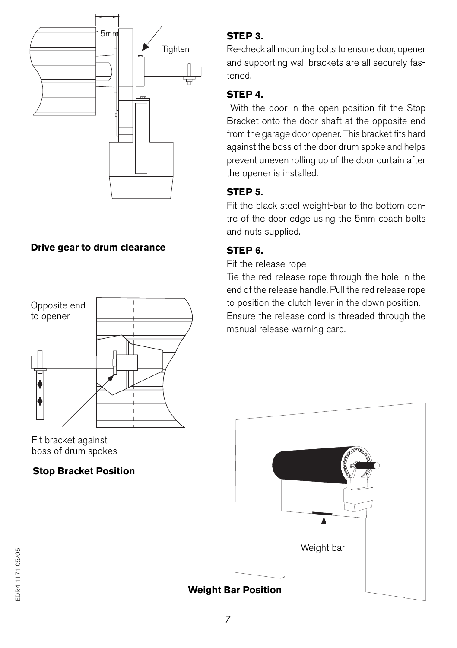

#### **Drive gear to drum clearance**



Fit bracket against boss of drum spokes

#### **Stop Bracket Position**

#### **STEP 3.**

Re-check all mounting bolts to ensure door, opener and supporting wall brackets are all securely fastened.

#### **STEP 4.**

 With the door in the open position fit the Stop Bracket onto the door shaft at the opposite end from the garage door opener. This bracket fits hard against the boss of the door drum spoke and helps prevent uneven rolling up of the door curtain after the opener is installed.

#### **STEP 5.**

Fit the black steel weight-bar to the bottom centre of the door edge using the 5mm coach bolts and nuts supplied.

#### **STEP 6.**

Fit the release rope

Tie the red release rope through the hole in the end of the release handle. Pull the red release rope to position the clutch lever in the down position. Ensure the release cord is threaded through the manual release warning card.

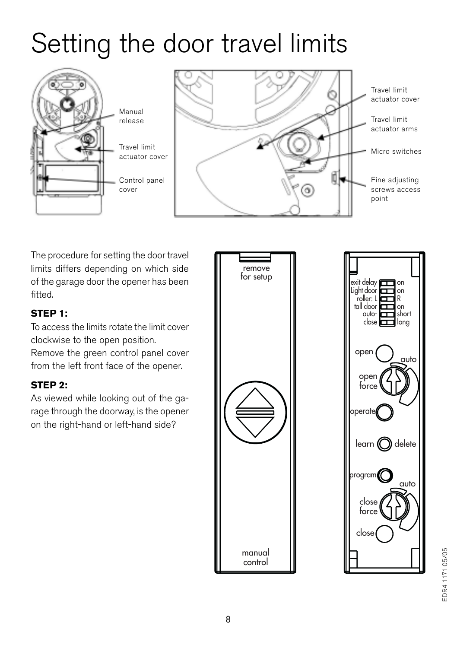## Setting the door travel limits





The procedure for setting the door travel limits differs depending on which side of the garage door the opener has been fitted.

#### **STEP 1:**

To access the limits rotate the limit cover clockwise to the open position. Remove the green control panel cover

from the left front face of the opener.

#### **STEP 2:**

As viewed while looking out of the garage through the doorway, is the opener on the right-hand or left-hand side?



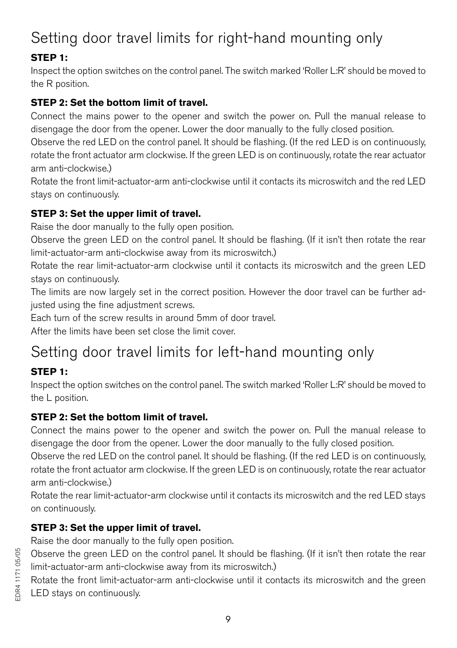## Setting door travel limits for right-hand mounting only

#### **STEP 1:**

Inspect the option switches on the control panel. The switch marked 'Roller L:R' should be moved to the R position.

#### **STEP 2: Set the bottom limit of travel.**

Connect the mains power to the opener and switch the power on. Pull the manual release to disengage the door from the opener. Lower the door manually to the fully closed position.

Observe the red LED on the control panel. It should be flashing. (If the red LED is on continuously, rotate the front actuator arm clockwise. If the green LED is on continuously, rotate the rear actuator arm anti-clockwise.)

Rotate the front limit-actuator-arm anti-clockwise until it contacts its microswitch and the red LED stays on continuously.

#### **STEP 3: Set the upper limit of travel.**

Raise the door manually to the fully open position.

Observe the green LED on the control panel. It should be flashing. (If it isn't then rotate the rear limit-actuator-arm anti-clockwise away from its microswitch.)

Rotate the rear limit-actuator-arm clockwise until it contacts its microswitch and the green LED stays on continuously.

The limits are now largely set in the correct position. However the door travel can be further adjusted using the fine adjustment screws.

Each turn of the screw results in around 5mm of door travel.

After the limits have been set close the limit cover.

## Setting door travel limits for left-hand mounting only

#### **STEP 1:**

Inspect the option switches on the control panel. The switch marked 'Roller L:R' should be moved to the L position.

#### **STEP 2: Set the bottom limit of travel.**

Connect the mains power to the opener and switch the power on. Pull the manual release to disengage the door from the opener. Lower the door manually to the fully closed position.

Observe the red LED on the control panel. It should be flashing. (If the red LED is on continuously, rotate the front actuator arm clockwise. If the green LED is on continuously, rotate the rear actuator arm anti-clockwise.)

Rotate the rear limit-actuator-arm clockwise until it contacts its microswitch and the red LED stays on continuously.

#### **STEP 3: Set the upper limit of travel.**

Raise the door manually to the fully open position.

Observe the green LED on the control panel. It should be flashing. (If it isn't then rotate the rear limit-actuator-arm anti-clockwise away from its microswitch.)

Rotate the front limit-actuator-arm anti-clockwise until it contacts its microswitch and the green LED stays on continuously.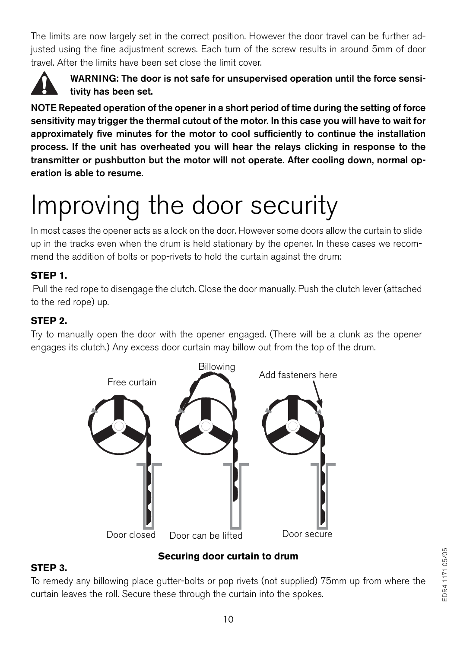The limits are now largely set in the correct position. However the door travel can be further adjusted using the fine adjustment screws. Each turn of the screw results in around 5mm of door travel. After the limits have been set close the limit cover.



#### **WARNING: The door is not safe for unsupervised operation until the force sensitivity has been set.**

**NOTE Repeated operation of the opener in a short period of time during the setting of force sensitivity may trigger the thermal cutout of the motor. In this case you will have to wait for approximately five minutes for the motor to cool sufficiently to continue the installation process. If the unit has overheated you will hear the relays clicking in response to the transmitter or pushbutton but the motor will not operate. After cooling down, normal operation is able to resume.**

# Improving the door security

In most cases the opener acts as a lock on the door. However some doors allow the curtain to slide up in the tracks even when the drum is held stationary by the opener. In these cases we recommend the addition of bolts or pop-rivets to hold the curtain against the drum:

#### **STEP 1.**

 Pull the red rope to disengage the clutch. Close the door manually. Push the clutch lever (attached to the red rope) up.

#### **STEP 2.**

Try to manually open the door with the opener engaged. (There will be a clunk as the opener engages its clutch.) Any excess door curtain may billow out from the top of the drum.



#### **Securing door curtain to drum**

#### **STEP 3.**

To remedy any billowing place gutter-bolts or pop rivets (not supplied) 75mm up from where the curtain leaves the roll. Secure these through the curtain into the spokes.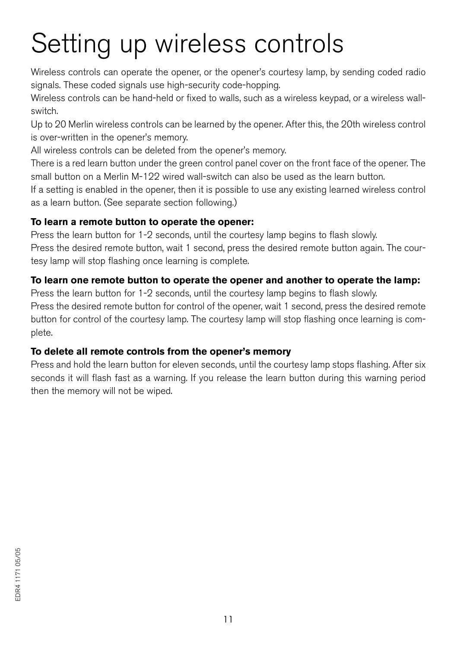# Setting up wireless controls

Wireless controls can operate the opener, or the opener's courtesy lamp, by sending coded radio signals. These coded signals use high-security code-hopping.

Wireless controls can be hand-held or fixed to walls, such as a wireless keypad, or a wireless wallswitch.

Up to 20 Merlin wireless controls can be learned by the opener. After this, the 20th wireless control is over-written in the opener's memory.

All wireless controls can be deleted from the opener's memory.

There is a red learn button under the green control panel cover on the front face of the opener. The small button on a Merlin M-122 wired wall-switch can also be used as the learn button.

If a setting is enabled in the opener, then it is possible to use any existing learned wireless control as a learn button. (See separate section following.)

#### **To learn a remote button to operate the opener:**

Press the learn button for 1-2 seconds, until the courtesy lamp begins to flash slowly. Press the desired remote button, wait 1 second, press the desired remote button again. The courtesy lamp will stop flashing once learning is complete.

#### **To learn one remote button to operate the opener and another to operate the lamp:**

Press the learn button for 1-2 seconds, until the courtesy lamp begins to flash slowly.

Press the desired remote button for control of the opener, wait 1 second, press the desired remote button for control of the courtesy lamp. The courtesy lamp will stop flashing once learning is complete.

#### **To delete all remote controls from the opener's memory**

Press and hold the learn button for eleven seconds, until the courtesy lamp stops flashing. After six seconds it will flash fast as a warning. If you release the learn button during this warning period then the memory will not be wiped.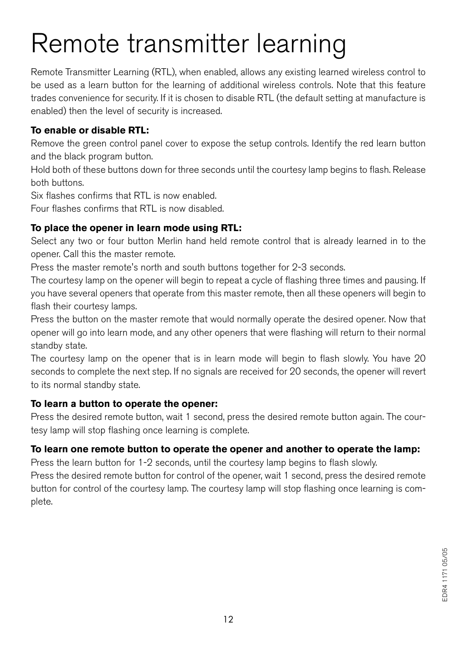## Remote transmitter learning

Remote Transmitter Learning (RTL), when enabled, allows any existing learned wireless control to be used as a learn button for the learning of additional wireless controls. Note that this feature trades convenience for security. If it is chosen to disable RTL (the default setting at manufacture is enabled) then the level of security is increased.

#### **To enable or disable RTL:**

Remove the green control panel cover to expose the setup controls. Identify the red learn button and the black program button.

Hold both of these buttons down for three seconds until the courtesy lamp begins to flash. Release both buttons.

Six flashes confirms that RTL is now enabled.

Four flashes confirms that RTL is now disabled.

#### **To place the opener in learn mode using RTL:**

Select any two or four button Merlin hand held remote control that is already learned in to the opener. Call this the master remote.

Press the master remote's north and south buttons together for 2-3 seconds.

The courtesy lamp on the opener will begin to repeat a cycle of flashing three times and pausing. If you have several openers that operate from this master remote, then all these openers will begin to flash their courtesy lamps.

Press the button on the master remote that would normally operate the desired opener. Now that opener will go into learn mode, and any other openers that were flashing will return to their normal standby state.

The courtesy lamp on the opener that is in learn mode will begin to flash slowly. You have 20 seconds to complete the next step. If no signals are received for 20 seconds, the opener will revert to its normal standby state.

#### **To learn a button to operate the opener:**

Press the desired remote button, wait 1 second, press the desired remote button again. The courtesy lamp will stop flashing once learning is complete.

#### **To learn one remote button to operate the opener and another to operate the lamp:**

Press the learn button for 1-2 seconds, until the courtesy lamp begins to flash slowly. Press the desired remote button for control of the opener, wait 1 second, press the desired remote button for control of the courtesy lamp. The courtesy lamp will stop flashing once learning is complete.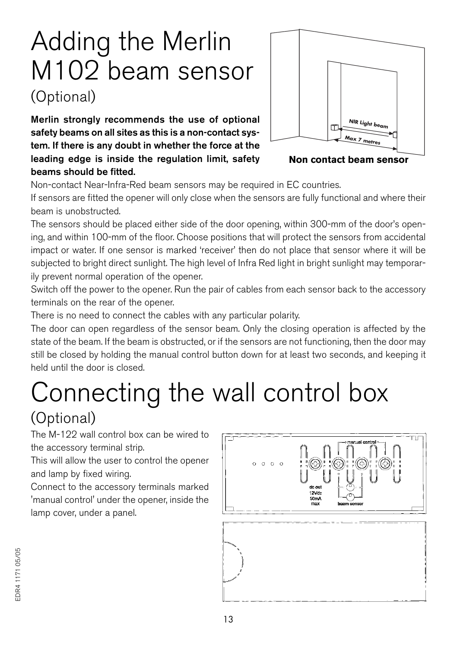## Adding the Merlin M102 beam sensor (Optional)

**Merlin strongly recommends the use of optional safety beams on all sites as this is a non-contact system. If there is any doubt in whether the force at the leading edge is inside the regulation limit, safety beams should be fitted.**



**Non contact beam sensor**

Non-contact Near-Infra-Red beam sensors may be required in EC countries.

If sensors are fitted the opener will only close when the sensors are fully functional and where their beam is unobstructed.

The sensors should be placed either side of the door opening, within 300-mm of the door's opening, and within 100-mm of the floor. Choose positions that will protect the sensors from accidental impact or water. If one sensor is marked 'receiver' then do not place that sensor where it will be subjected to bright direct sunlight. The high level of Infra Red light in bright sunlight may temporarily prevent normal operation of the opener.

Switch off the power to the opener. Run the pair of cables from each sensor back to the accessory terminals on the rear of the opener.

There is no need to connect the cables with any particular polarity.

The door can open regardless of the sensor beam. Only the closing operation is affected by the state of the beam. If the beam is obstructed, or if the sensors are not functioning, then the door may still be closed by holding the manual control button down for at least two seconds, and keeping it held until the door is closed.

# Connecting the wall control box

### (Optional)

The M-122 wall control box can be wired to the accessory terminal strip.

This will allow the user to control the opener and lamp by fixed wiring.

Connect to the accessory terminals marked 'manual control' under the opener, inside the lamp cover, under a panel.

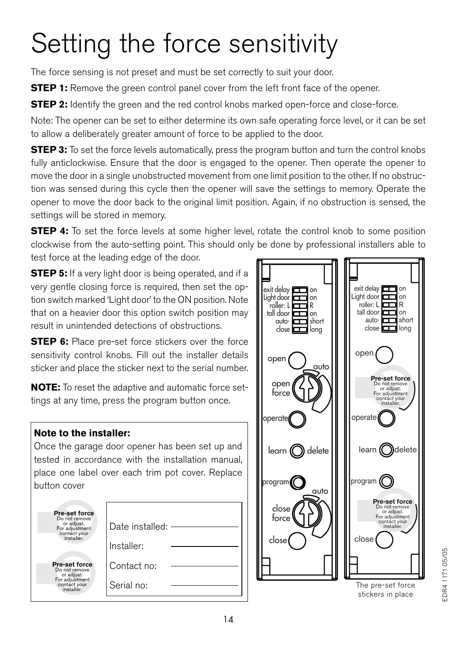# Setting the force sensitivity

The force sensing is not preset and must be set correctly to suit your door.

**STEP 1:** Remove the green control panel cover from the left front face of the opener.

**STEP 2:** Identify the green and the red control knobs marked open-force and close-force.

Note: The opener can be set to either determine its own safe operating force level, or it can be set to allow a deliberately greater amount of force to be applied to the door.

**STEP 3:** To set the force levels automatically, press the program button and turn the control knobs fully anticlockwise. Ensure that the door is engaged to the opener. Then operate the opener to move the door in a single unobstructed movement from one limit position to the other. If no obstruction was sensed during this cycle then the opener will save the settings to memory. Operate the opener to move the door back to the original limit position. Again, if no obstruction is sensed, the settings will be stored in memory.

**STEP 4:** To set the force levels at some higher level, rotate the control knob to some position clockwise from the auto-setting point. This should only be done by professional installers able to test force at the leading edge of the door.

**STEP 5:** If a very light door is being operated, and if a very gentle closing force is required, then set the option switch marked 'Light door' to the ON position. Note that on a heavier door this option switch position may result in unintended detections of obstructions.

**STEP 6:** Place pre-set force stickers over the force sensitivity control knobs. Fill out the installer details sticker and place the sticker next to the serial number.

**NOTE:** To reset the adaptive and automatic force settings at any time, press the program button once.

#### **Note to the installer:**

Once the garage door opener has been set up and tested in accordance with the installation manual, place one label over each trim pot cover. Replace button cover

| Pre-set force                                 |                 |
|-----------------------------------------------|-----------------|
| Do not remove<br>or adjust.<br>For adjustment | Date installed: |
| contact your<br>installer.                    |                 |
|                                               | Installer:      |
| Pre-set force                                 | Contact no:     |
| Do not remove<br>or adjust.                   |                 |
| For adjustment<br>contact your<br>installer   | Serial no:      |
|                                               |                 |



stickers in place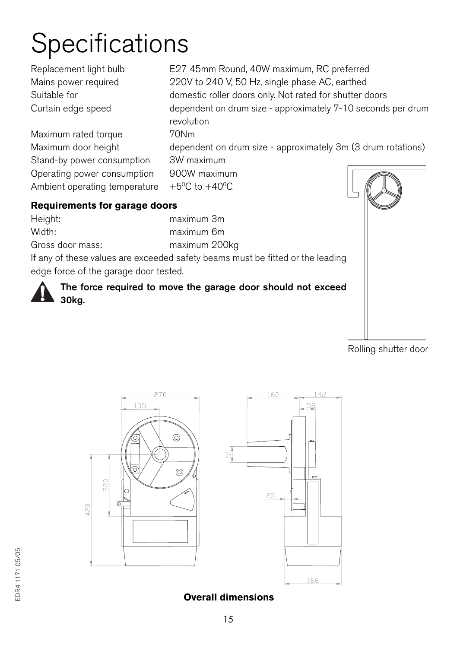## Specifications

Maximum rated torque 70Nm Stand-by power consumption 3W maximum Operating power consumption 900W maximum Ambient operating temperature  $+5^{\circ}$ C to  $+40^{\circ}$ C

Replacement light bulb E27 45mm Round, 40W maximum, RC preferred Mains power required 220V to 240 V, 50 Hz, single phase AC, earthed Suitable for domestic roller doors only. Not rated for shutter doors Curtain edge speed dependent on drum size - approximately 7-10 seconds per drum revolution

Maximum door height dependent on drum size - approximately 3m (3 drum rotations)

- 
- 

#### **Requirements for garage doors**

Height: maximum 3m Width: maximum 6m Gross door mass: maximum 200kg

If any of these values are exceeded safety beams must be fitted or the leading edge force of the garage door tested.

**The force required to move the garage door should not exceed 30kg.**



Rolling shutter door



#### **Overall dimensions**